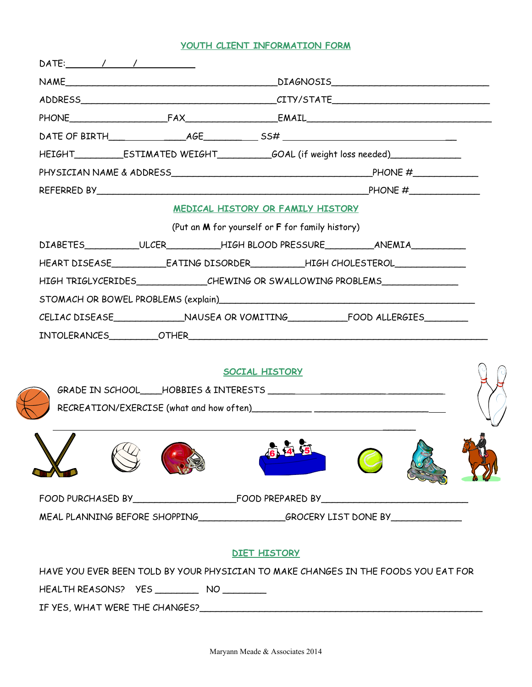## **YOUTH CLIENT INFORMATION FORM**

|                                               |                                                                                                                                                                                                                                                                                                           |                                                 | HEIGHT______________ESTIMATED WEIGHT______________GOAL (if weight loss needed)_____________________                                                                                                                            |  |  |
|-----------------------------------------------|-----------------------------------------------------------------------------------------------------------------------------------------------------------------------------------------------------------------------------------------------------------------------------------------------------------|-------------------------------------------------|--------------------------------------------------------------------------------------------------------------------------------------------------------------------------------------------------------------------------------|--|--|
|                                               |                                                                                                                                                                                                                                                                                                           |                                                 |                                                                                                                                                                                                                                |  |  |
|                                               | REFERRED BY $\rule{1em}{0.15mm}$ $\rule{1.5mm}{0.15mm}$ $\rule{1.5mm}{0.15mm}$ $\rule{1.5mm}{0.15mm}$ $\rule{1.5mm}{0.15mm}$ $\rule{1.5mm}{0.15mm}$ $\rule{1.5mm}$ $\rule{1.5mm}$ $\rule{1.5mm}$ $\rule{1.5mm}$ $\rule{1.5mm}$ $\rule{1.5mm}$ $\rule{1.5mm}$ $\rule{1.5mm}$ $\rule{1.5mm}$ $\rule{1.5mm}$ |                                                 |                                                                                                                                                                                                                                |  |  |
|                                               |                                                                                                                                                                                                                                                                                                           | MEDICAL HISTORY OR FAMILY HISTORY               |                                                                                                                                                                                                                                |  |  |
|                                               |                                                                                                                                                                                                                                                                                                           | (Put an M for yourself or F for family history) |                                                                                                                                                                                                                                |  |  |
|                                               |                                                                                                                                                                                                                                                                                                           |                                                 | DIABETES___________ULCER__________HIGH BLOOD PRESSURE___________________________                                                                                                                                               |  |  |
|                                               |                                                                                                                                                                                                                                                                                                           |                                                 |                                                                                                                                                                                                                                |  |  |
|                                               |                                                                                                                                                                                                                                                                                                           |                                                 | HIGH TRIGLYCERIDES_____________CHEWING OR SWALLOWING PROBLEMS___________________                                                                                                                                               |  |  |
|                                               |                                                                                                                                                                                                                                                                                                           |                                                 | STOMACH OR BOWEL PROBLEMS (explain) Management of the state of the state of the state of the state of the state of the state of the state of the state of the state of the state of the state of the state of the state of the |  |  |
|                                               |                                                                                                                                                                                                                                                                                                           |                                                 |                                                                                                                                                                                                                                |  |  |
|                                               |                                                                                                                                                                                                                                                                                                           |                                                 |                                                                                                                                                                                                                                |  |  |
|                                               |                                                                                                                                                                                                                                                                                                           |                                                 |                                                                                                                                                                                                                                |  |  |
|                                               |                                                                                                                                                                                                                                                                                                           | <b>SOCIAL HISTORY</b>                           |                                                                                                                                                                                                                                |  |  |
|                                               |                                                                                                                                                                                                                                                                                                           |                                                 |                                                                                                                                                                                                                                |  |  |
|                                               |                                                                                                                                                                                                                                                                                                           |                                                 |                                                                                                                                                                                                                                |  |  |
|                                               |                                                                                                                                                                                                                                                                                                           |                                                 |                                                                                                                                                                                                                                |  |  |
|                                               |                                                                                                                                                                                                                                                                                                           |                                                 |                                                                                                                                                                                                                                |  |  |
|                                               |                                                                                                                                                                                                                                                                                                           |                                                 |                                                                                                                                                                                                                                |  |  |
|                                               |                                                                                                                                                                                                                                                                                                           |                                                 |                                                                                                                                                                                                                                |  |  |
|                                               |                                                                                                                                                                                                                                                                                                           |                                                 |                                                                                                                                                                                                                                |  |  |
|                                               |                                                                                                                                                                                                                                                                                                           |                                                 | MEAL PLANNING BEFORE SHOPPING________________________GROCERY LIST DONE BY______________                                                                                                                                        |  |  |
|                                               |                                                                                                                                                                                                                                                                                                           |                                                 |                                                                                                                                                                                                                                |  |  |
|                                               |                                                                                                                                                                                                                                                                                                           | <b>DIET HISTORY</b>                             |                                                                                                                                                                                                                                |  |  |
|                                               |                                                                                                                                                                                                                                                                                                           |                                                 | HAVE YOU EVER BEEN TOLD BY YOUR PHYSICIAN TO MAKE CHANGES IN THE FOODS YOU EAT FOR                                                                                                                                             |  |  |
| HEALTH REASONS? YES ____________ NO _________ |                                                                                                                                                                                                                                                                                                           |                                                 |                                                                                                                                                                                                                                |  |  |
|                                               |                                                                                                                                                                                                                                                                                                           |                                                 |                                                                                                                                                                                                                                |  |  |